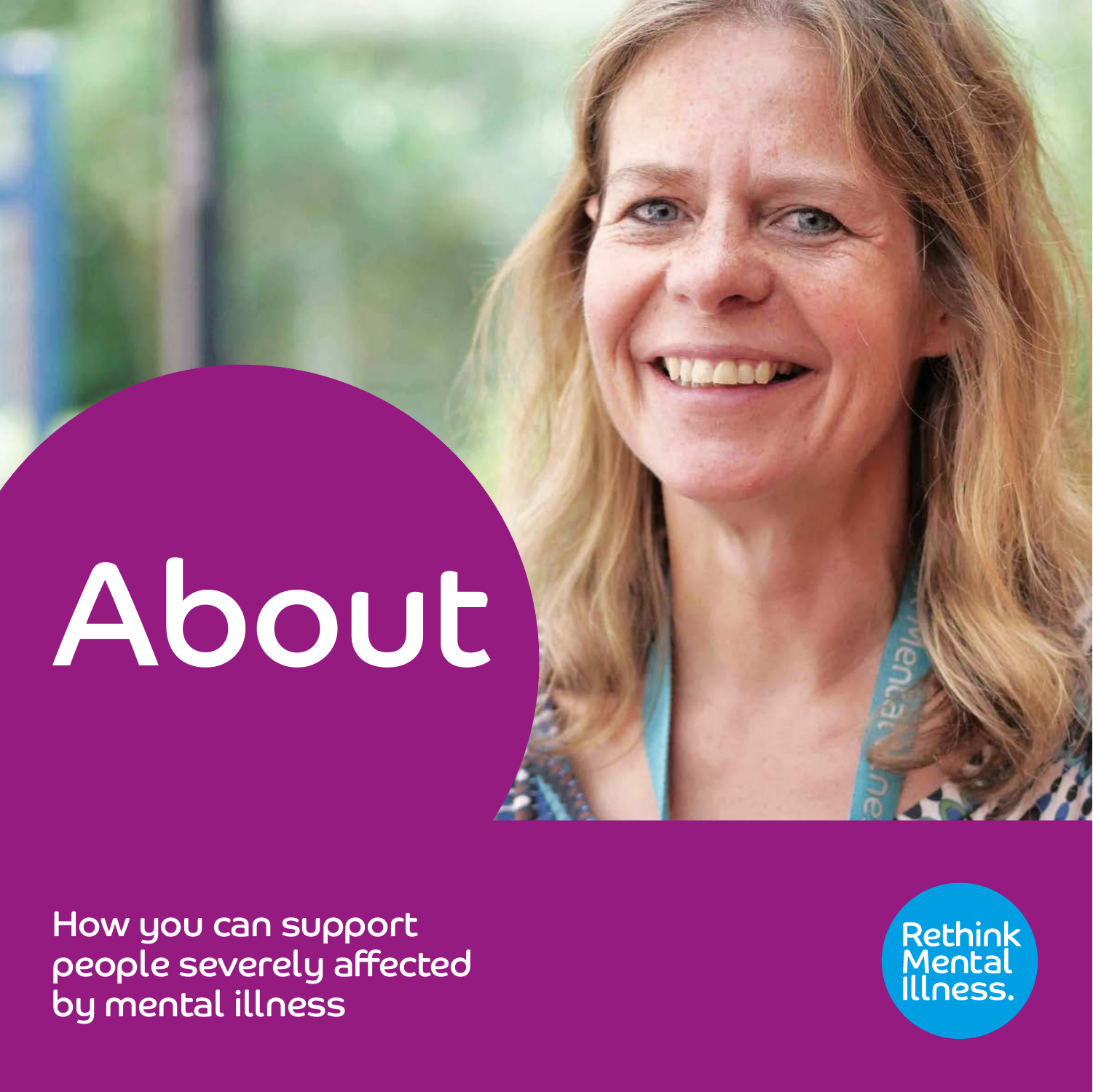# About

How you can support people severely affected by mental illness

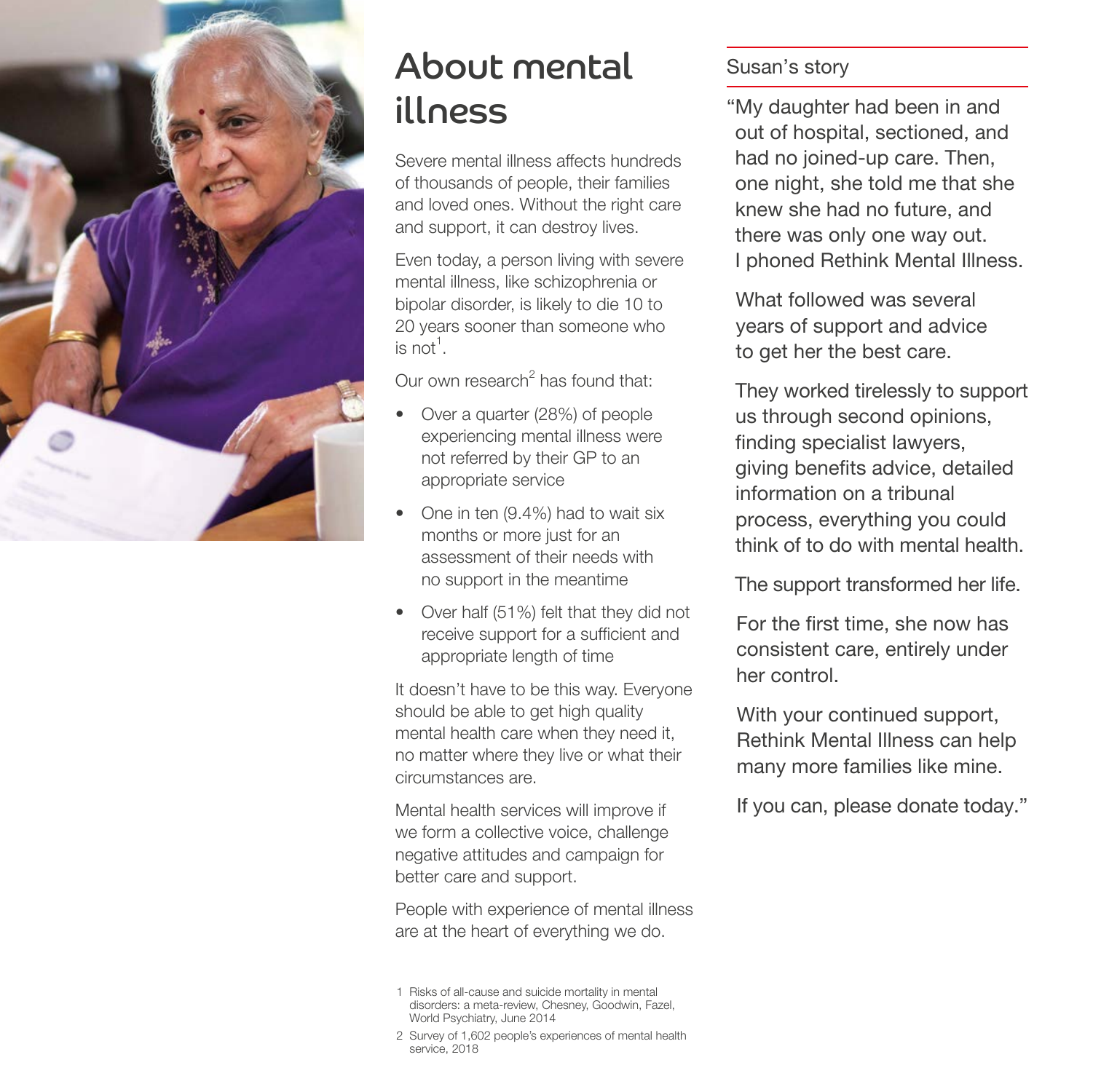

# About mental illness

Severe mental illness affects hundreds of thousands of people, their families and loved ones. Without the right care and support, it can destroy lives.

Even today, a person living with severe mental illness, like schizophrenia or bipolar disorder, is likely to die 10 to 20 years sooner than someone who is not $^1$ .

Our own research<sup>2</sup> has found that:

- Over a quarter (28%) of people experiencing mental illness were not referred by their GP to an appropriate service
- One in ten (9.4%) had to wait six months or more just for an assessment of their needs with no support in the meantime
- Over half (51%) felt that they did not receive support for a sufficient and appropriate length of time

It doesn't have to be this way. Everyone should be able to get high quality mental health care when they need it, no matter where they live or what their circumstances are.

Mental health services will improve if we form a collective voice, challenge negative attitudes and campaign for better care and support.

People with experience of mental illness are at the heart of everything we do.

- 1 Risks of all-cause and suicide mortality in mental disorders: a meta-review, Chesney, Goodwin, Fazel, World Psychiatry, June 2014
- 2 Survey of 1,602 people's experiences of mental health service, 2018

# Susan's story

"My daughter had been in and out of hospital, sectioned, and had no joined-up care. Then, one night, she told me that she knew she had no future, and there was only one way out. I phoned Rethink Mental Illness.

What followed was several years of support and advice to get her the best care.

 They worked tirelessly to support us through second opinions, finding specialist lawyers, giving benefits advice, detailed information on a tribunal process, everything you could think of to do with mental health.

The support transformed her life.

For the first time, she now has consistent care, entirely under her control.

With your continued support, Rethink Mental Illness can help many more families like mine.

If you can, please donate today."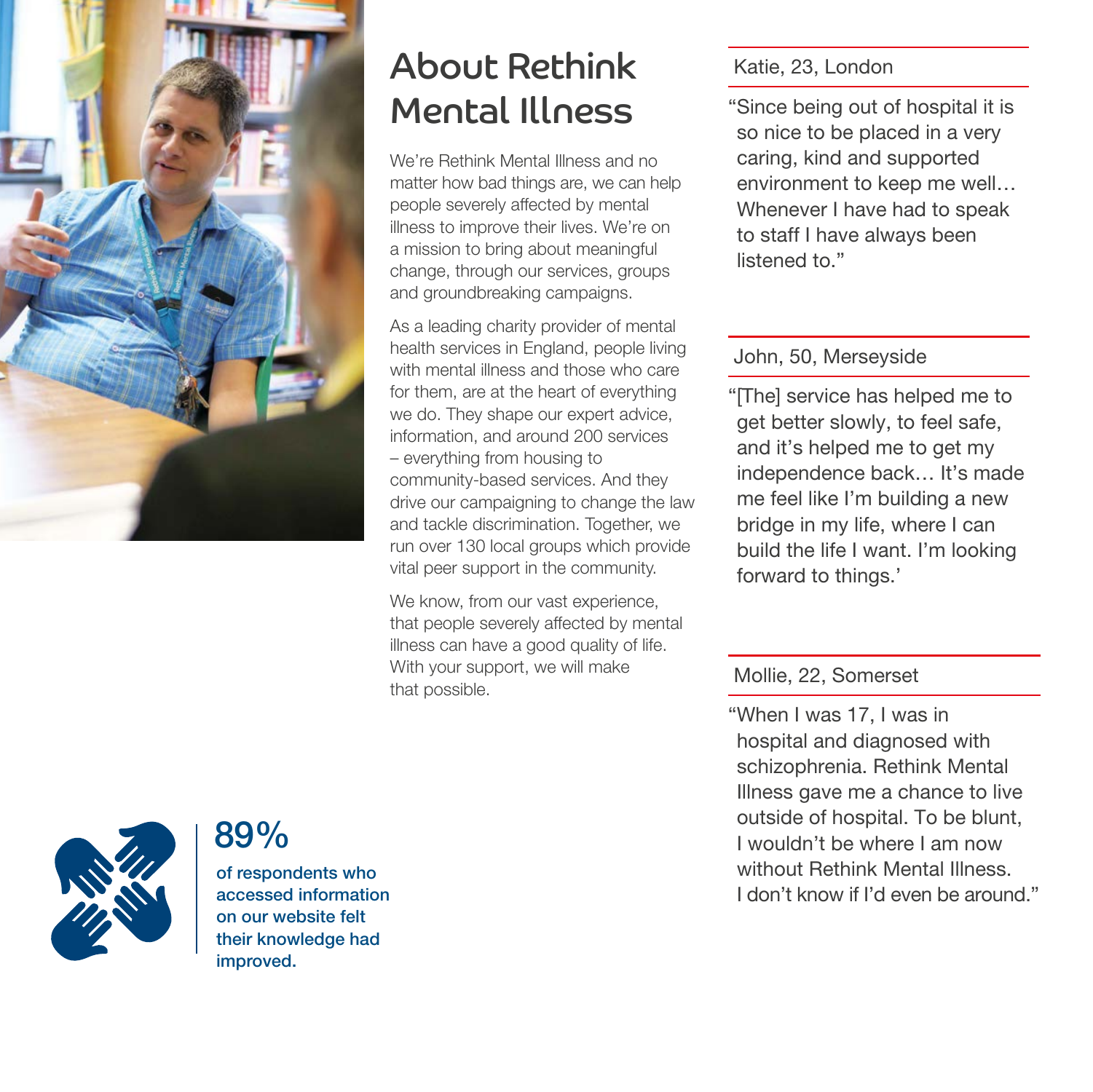

# About Rethink Mental Illness

We're Rethink Mental Illness and no matter how bad things are, we can help people severely affected by mental illness to improve their lives. We're on a mission to bring about meaningful change, through our services, groups and groundbreaking campaigns.

As a leading charity provider of mental health services in England, people living with mental illness and those who care for them, are at the heart of everything we do. They shape our expert advice, information, and around 200 services – everything from housing to community-based services. And they drive our campaigning to change the law and tackle discrimination. Together, we run over 130 local groups which provide vital peer support in the community.

We know, from our vast experience, that people severely affected by mental illness can have a good quality of life. With your support, we will make With your support, we will make<br>that possible. Mollie, 22, Somerset

# Katie, 23, London

"Since being out of hospital it is so nice to be placed in a very caring, kind and supported environment to keep me well… Whenever I have had to speak to staff I have always been listened to."

## John, 50, Merseyside

"[The] service has helped me to get better slowly, to feel safe, and it's helped me to get my independence back… It's made me feel like I'm building a new bridge in my life, where I can build the life I want. I'm looking forward to things.'

"When I was 17, I was in hospital and diagnosed with schizophrenia. Rethink Mental Illness gave me a chance to live outside of hospital. To be blunt, I wouldn't be where I am now without Rethink Mental Illness. I don't know if I'd even be around."



# 89%

of respondents who accessed information on our website felt their knowledge had improved.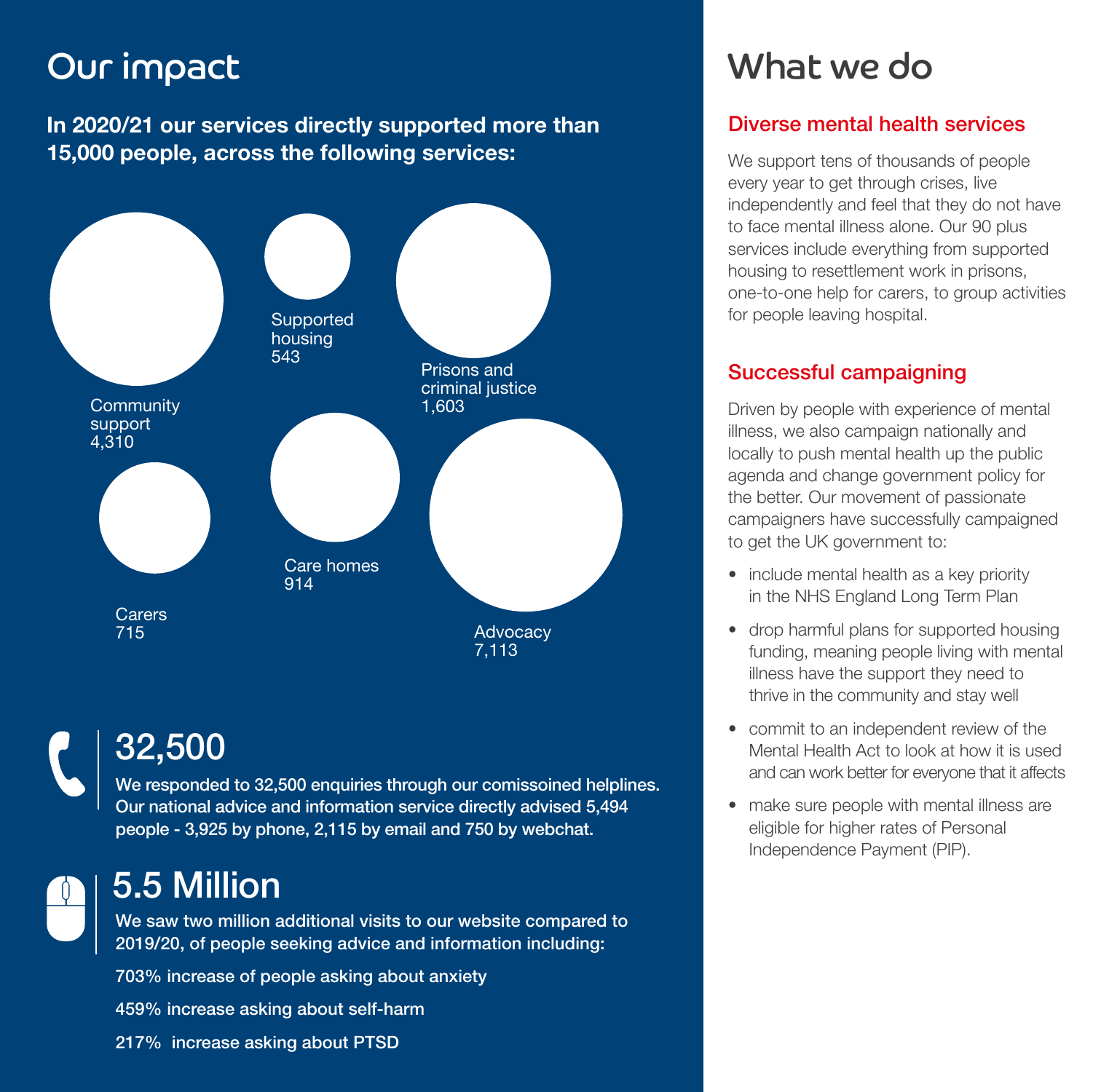# Our impact

In 2020/21 our services directly supported more than 15,000 people, across the following services:



# 32,500

We responded to 32,500 enquiries through our comissoined helplines. Our national advice and information service directly advised 5,494 people - 3,925 by phone, 2,115 by email and 750 by webchat.

# 5.5 Million

We saw two million additional visits to our website compared to 2019/20, of people seeking advice and information including:

703% increase of people asking about anxiety 459% increase asking about self-harm 217% increase asking about PTSD

# What we do

# Diverse mental health services

We support tens of thousands of people every year to get through crises, live independently and feel that they do not have to face mental illness alone. Our 90 plus services include everything from supported housing to resettlement work in prisons, one-to-one help for carers, to group activities for people leaving hospital.

# Successful campaigning

Driven by people with experience of mental illness, we also campaign nationally and locally to push mental health up the public agenda and change government policy for the better. Our movement of passionate campaigners have successfully campaigned to get the UK government to:

- include mental health as a key priority in the NHS England Long Term Plan
- drop harmful plans for supported housing funding, meaning people living with mental illness have the support they need to thrive in the community and stay well
- commit to an independent review of the Mental Health Act to look at how it is used and can work better for everyone that it affects
- make sure people with mental illness are eligible for higher rates of Personal Independence Payment (PIP).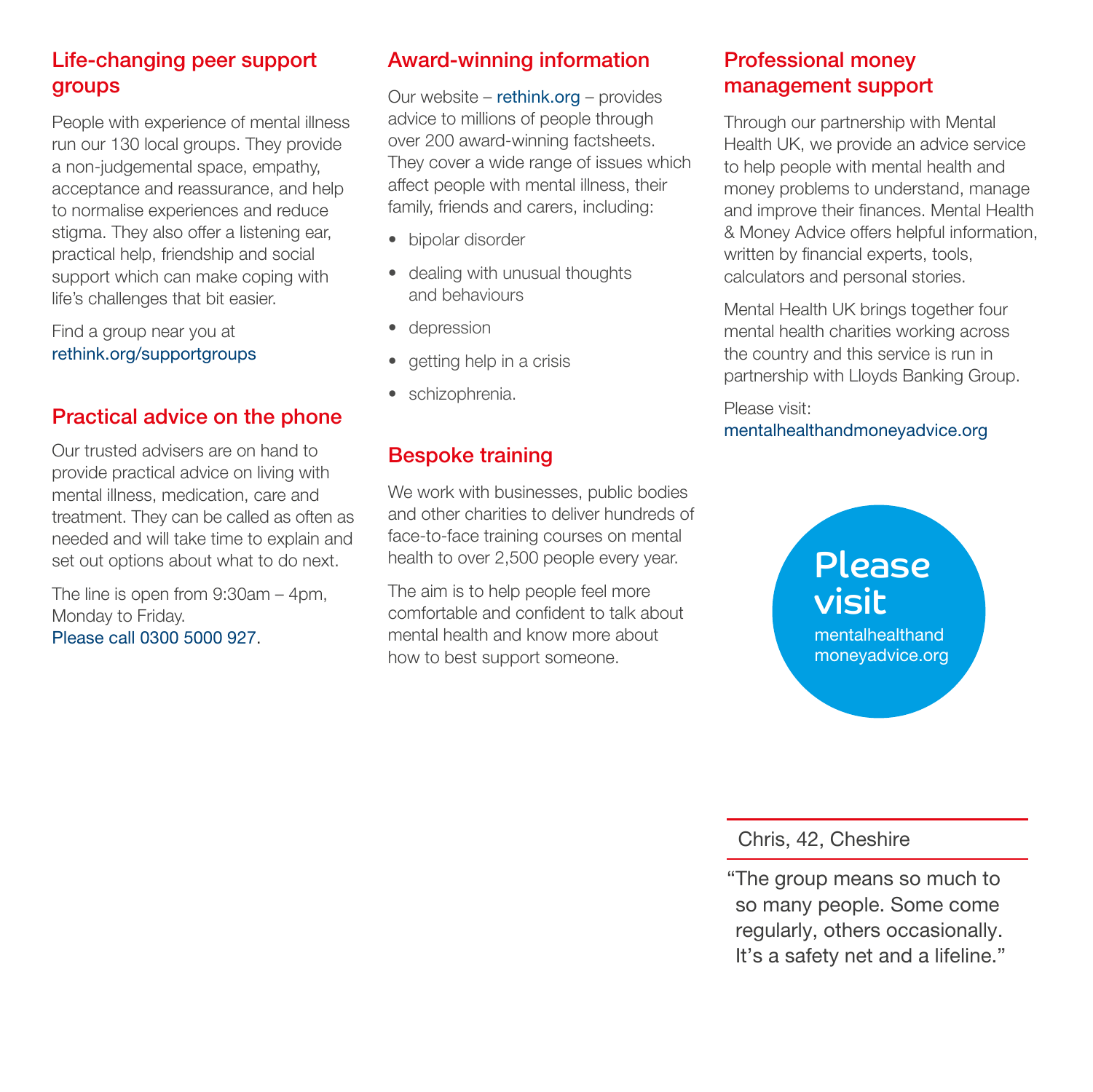# Life-changing peer support **groups**

People with experience of mental illness run our 130 local groups. They provide a non-judgemental space, empathy, acceptance and reassurance, and help to normalise experiences and reduce stigma. They also offer a listening ear, practical help, friendship and social support which can make coping with life's challenges that bit easier.

Find a group near you at rethink.org/supportgroups

# Practical advice on the phone

Our trusted advisers are on hand to provide practical advice on living with mental illness, medication, care and treatment. They can be called as often as needed and will take time to explain and set out options about what to do next.

The line is open from 9:30am – 4pm, Monday to Friday. Please call 0300 5000 927.

# Award-winning information

Our website – rethink.org – provides advice to millions of people through over 200 award-winning factsheets. They cover a wide range of issues which affect people with mental illness, their family, friends and carers, including:

- bipolar disorder
- dealing with unusual thoughts and behaviours
- depression
- getting help in a crisis
- schizophrenia.

## Bespoke training

We work with businesses, public bodies and other charities to deliver hundreds of face-to-face training courses on mental health to over 2,500 people every year.

The aim is to help people feel more comfortable and confident to talk about mental health and know more about how to best support someone.

# Professional money management support

Through our partnership with Mental Health UK, we provide an advice service to help people with mental health and money problems to understand, manage and improve their finances. Mental Health & Money Advice offers helpful information, written by financial experts, tools, calculators and personal stories.

Mental Health UK brings together four mental health charities working across the country and this service is run in partnership with Lloyds Banking Group.

Please visit: mentalhealthandmoneyadvice.org

# Please visit

mentalhealthand moneyadvice.org

Chris, 42, Cheshire

"The group means so much to so many people. Some come regularly, others occasionally. It's a safety net and a lifeline."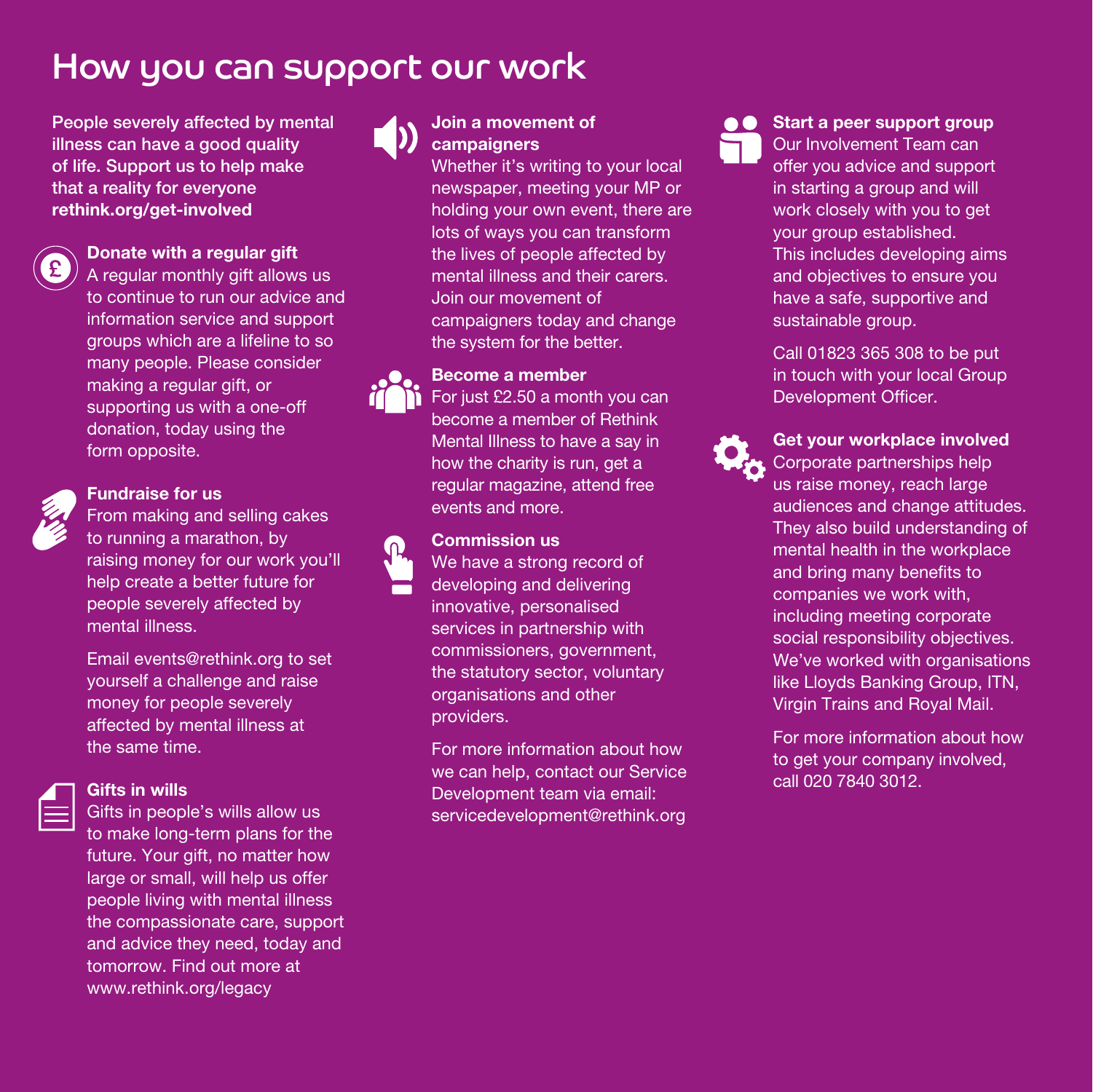# How you can support our work

People severely affected by mental illness can have a good quality of life. Support us to help make that a reality for everyone rethink.org/get-involved



### Donate with a regular gift

A regular monthly gift allows us to continue to run our advice and information service and support groups which are a lifeline to so many people. Please consider making a regular gift, or supporting us with a one-off donation, today using the form opposite.



### Fundraise for us

From making and selling cakes to running a marathon, by raising money for our work you'll help create a better future for people severely affected by mental illness.

 Email events@rethink.org to set yourself a challenge and raise money for people severely affected by mental illness at the same time.



### Gifts in wills

 Gifts in people's wills allow us to make long-term plans for the future. Your gift, no matter how large or small, will help us offer people living with mental illness the compassionate care, support and advice they need, today and tomorrow. Find out more at www.rethink.org/legacy



## Join a movement of **campaigners**

Whether it's writing to your local newspaper, meeting your MP or holding your own event, there are lots of ways you can transform the lives of people affected by mental illness and their carers. Join our movement of campaigners today and change the system for the better.



### Become a member

For just £2.50 a month you can become a member of Rethink Mental Illness to have a say in how the charity is run, get a regular magazine, attend free events and more.



# Commission us

We have a strong record of developing and delivering innovative, personalised services in partnership with commissioners, government, the statutory sector, voluntary organisations and other providers.

For more information about how we can help, contact our Service Development team via email: servicedevelopment@rethink.org

**A C** Start a peer support group Our Involvement Team can offer you advice and support in starting a group and will work closely with you to get your group established. This includes developing aims and objectives to ensure you have a safe, supportive and sustainable group.

> Call 01823 365 308 to be put in touch with your local Group Development Officer.



### Get your workplace involved Corporate partnerships help us raise money, reach large audiences and change attitudes. They also build understanding of mental health in the workplace and bring many benefits to companies we work with,

including meeting corporate social responsibility objectives. We've worked with organisations like Lloyds Banking Group, ITN, Virgin Trains and Royal Mail.

 For more information about how to get your company involved, call 020 7840 3012.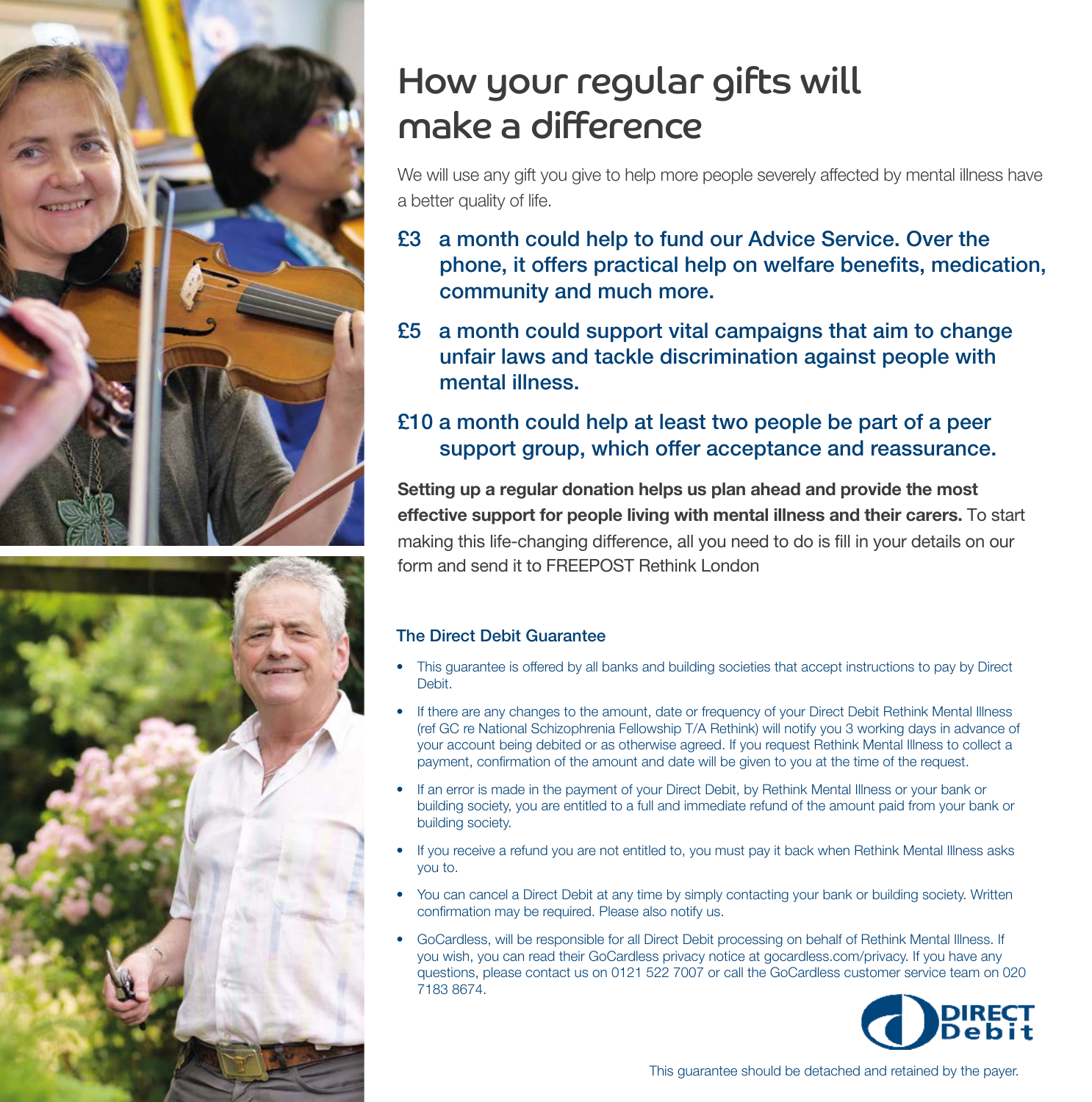



# How your regular gifts will make a difference

We will use any gift you give to help more people severely affected by mental illness have a better quality of life.

- £3 a month could help to fund our Advice Service. Over the phone, it offers practical help on welfare benefits, medication, community and much more.
- £5 a month could support vital campaigns that aim to change unfair laws and tackle discrimination against people with mental illness.

# £10 a month could help at least two people be part of a peer support group, which offer acceptance and reassurance.

Setting up a regular donation helps us plan ahead and provide the most effective support for people living with mental illness and their carers. To start making this life-changing difference, all you need to do is fill in your details on our form and send it to FRFFPOST Rethink London

### The Direct Debit Guarantee

- This guarantee is offered by all banks and building societies that accept instructions to pay by Direct Debit.
- If there are any changes to the amount, date or frequency of your Direct Debit Rethink Mental Illness (ref GC re National Schizophrenia Fellowship T/A Rethink) will notify you 3 working days in advance of your account being debited or as otherwise agreed. If you request Rethink Mental Illness to collect a payment, confirmation of the amount and date will be given to you at the time of the request.
- If an error is made in the payment of your Direct Debit, by Rethink Mental Illness or your bank or building society, you are entitled to a full and immediate refund of the amount paid from your bank or building society.
- If you receive a refund you are not entitled to, you must pay it back when Rethink Mental Illness asks you to.
- You can cancel a Direct Debit at any time by simply contacting your bank or building society. Written confirmation may be required. Please also notify us.
- GoCardless, will be responsible for all Direct Debit processing on behalf of Rethink Mental Illness. If you wish, you can read their GoCardless privacy notice at gocardless.com/privacy. If you have any questions, please contact us on 0121 522 7007 or call the GoCardless customer service team on 020 7183 8674.



This guarantee should be detached and retained by the payer.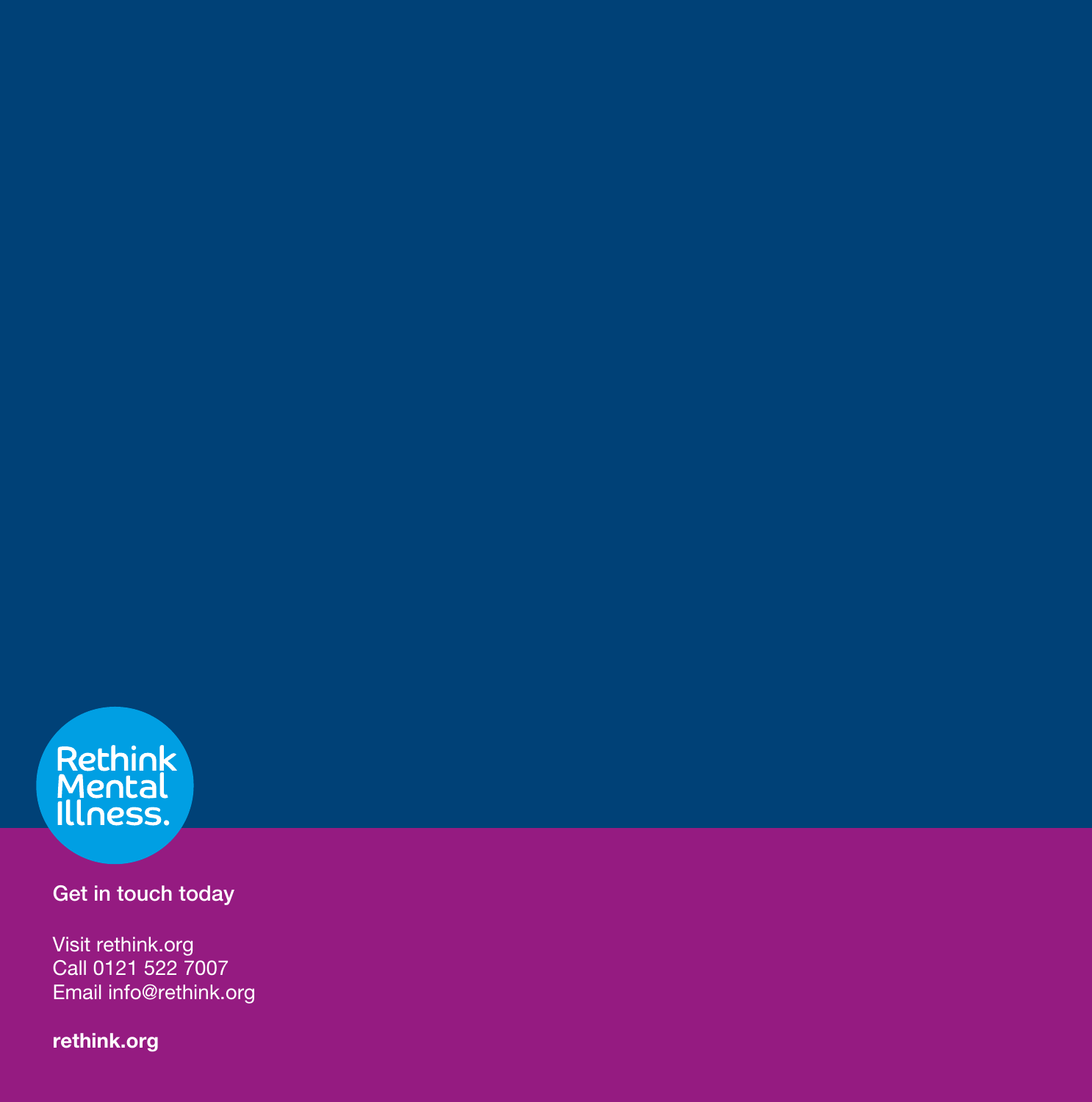

# Get in touch today

Visit rethink.org Call 0121 522 7007 Email info@rethink.org

rethink.org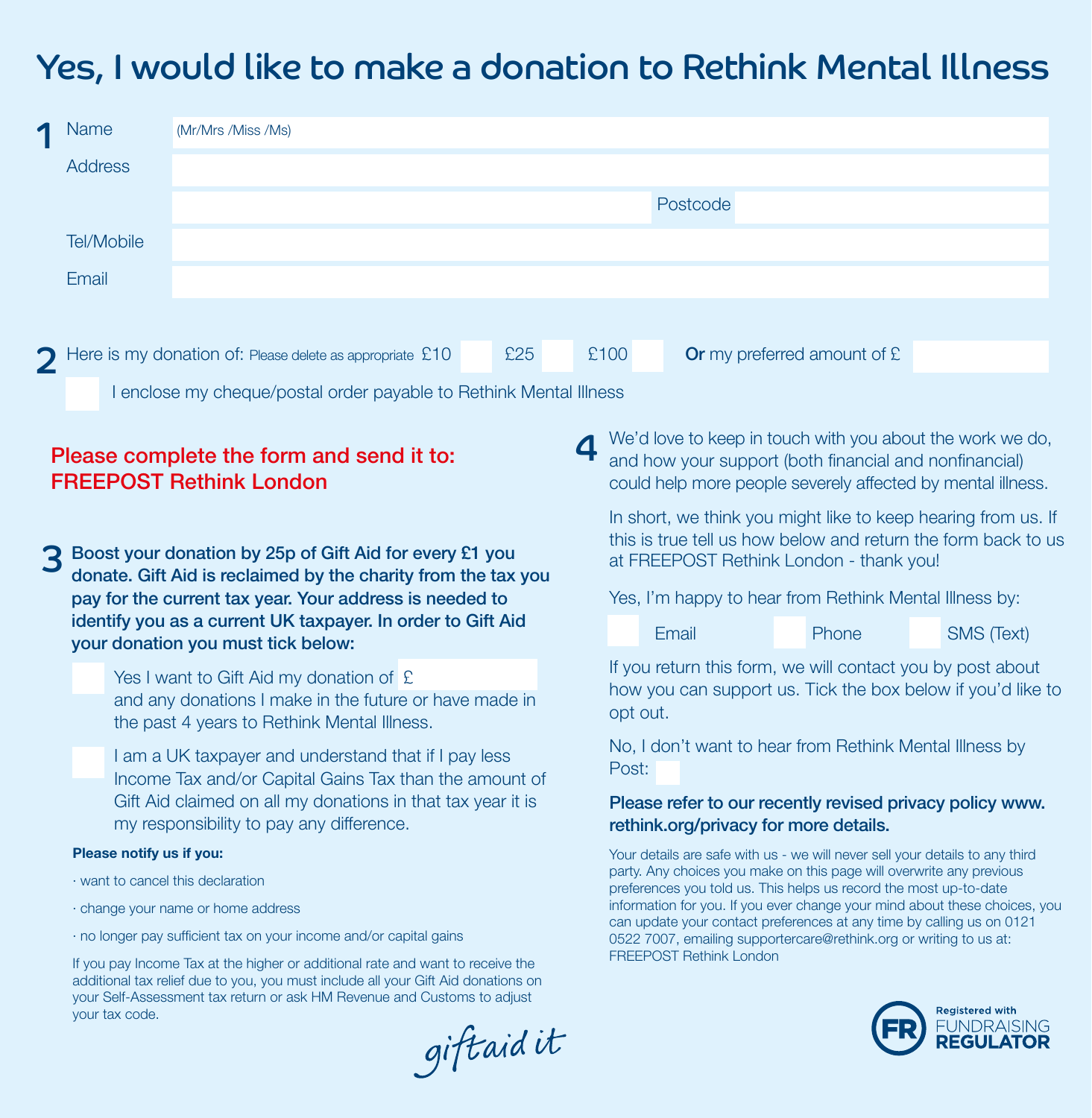# Yes, I would like to make a donation to Rethink Mental Illness

| q                                                                          | <b>Name</b><br>(Mr/Mrs /Miss /Ms)                                                                                                                            |                                                                                                                                                  |          |                                                         |                                                                                                                                                                                    |       |                                                                                                                                       |            |  |  |
|----------------------------------------------------------------------------|--------------------------------------------------------------------------------------------------------------------------------------------------------------|--------------------------------------------------------------------------------------------------------------------------------------------------|----------|---------------------------------------------------------|------------------------------------------------------------------------------------------------------------------------------------------------------------------------------------|-------|---------------------------------------------------------------------------------------------------------------------------------------|------------|--|--|
|                                                                            | Address                                                                                                                                                      |                                                                                                                                                  |          |                                                         |                                                                                                                                                                                    |       |                                                                                                                                       |            |  |  |
|                                                                            |                                                                                                                                                              |                                                                                                                                                  | Postcode |                                                         |                                                                                                                                                                                    |       |                                                                                                                                       |            |  |  |
|                                                                            | Tel/Mobile                                                                                                                                                   |                                                                                                                                                  |          |                                                         |                                                                                                                                                                                    |       |                                                                                                                                       |            |  |  |
|                                                                            | Email                                                                                                                                                        |                                                                                                                                                  |          |                                                         |                                                                                                                                                                                    |       |                                                                                                                                       |            |  |  |
|                                                                            |                                                                                                                                                              |                                                                                                                                                  |          |                                                         |                                                                                                                                                                                    |       |                                                                                                                                       |            |  |  |
|                                                                            |                                                                                                                                                              | Here is my donation of: Please delete as appropriate £10                                                                                         | £25      |                                                         | £100                                                                                                                                                                               |       | Or my preferred amount of £                                                                                                           |            |  |  |
|                                                                            | I enclose my cheque/postal order payable to Rethink Mental Illness                                                                                           |                                                                                                                                                  |          |                                                         |                                                                                                                                                                                    |       |                                                                                                                                       |            |  |  |
| Please complete the form and send it to:<br><b>FREEPOST Rethink London</b> |                                                                                                                                                              |                                                                                                                                                  |          |                                                         | We'd love to keep in touch with you about the work we do,<br>and how your support (both financial and nonfinancial)<br>could help more people severely affected by mental illness. |       |                                                                                                                                       |            |  |  |
|                                                                            |                                                                                                                                                              | Boost your donation by 25p of Gift Aid for every £1 you<br>donate. Gift Aid is reclaimed by the charity from the tax you                         |          |                                                         | In short, we think you might like to keep hearing from us. If<br>this is true tell us how below and return the form back to us<br>at FREEPOST Rethink London - thank you!          |       |                                                                                                                                       |            |  |  |
|                                                                            | pay for the current tax year. Your address is needed to<br>identify you as a current UK taxpayer. In order to Gift Aid<br>your donation you must tick below: |                                                                                                                                                  |          | Yes, I'm happy to hear from Rethink Mental Illness by:  |                                                                                                                                                                                    |       |                                                                                                                                       |            |  |  |
|                                                                            |                                                                                                                                                              |                                                                                                                                                  |          |                                                         |                                                                                                                                                                                    | Email | Phone                                                                                                                                 | SMS (Text) |  |  |
|                                                                            |                                                                                                                                                              | Yes I want to Gift Aid my donation of £<br>and any donations I make in the future or have made in<br>the past 4 years to Rethink Mental Illness. |          |                                                         |                                                                                                                                                                                    |       | If you return this form, we will contact you by post about<br>how you can support us. Tick the box below if you'd like to<br>opt out. |            |  |  |
|                                                                            |                                                                                                                                                              | Lame UK townower and understand that if Lagy less                                                                                                |          | No, I don't want to hear from Rethink Mental Illness by |                                                                                                                                                                                    |       |                                                                                                                                       |            |  |  |

Post:

I am a UK taxpayer and understand that if I pay less Income Tax and/or Capital Gains Tax than the amount of Gift Aid claimed on all my donations in that tax year it is my responsibility to pay any difference.

### Please notify us if you:

- · want to cancel this declaration
- · change your name or home address
- · no longer pay sufficient tax on your income and/or capital gains

If you pay Income Tax at the higher or additional rate and want to receive the additional tax relief due to you, you must include all your Gift Aid donations on your Self-Assessment tax return or ask HM Revenue and Customs to adjust your tax code.

giftaidit

Please refer to our recently revised privacy policy www. rethink.org/privacy for more details.

Your details are safe with us - we will never sell your details to any third party. Any choices you make on this page will overwrite any previous preferences you told us. This helps us record the most up-to-date information for you. If you ever change your mind about these choices, you can update your contact preferences at any time by calling us on 0121 0522 7007, emailing supportercare@rethink.org or writing to us at: FREEPOST Rethink London